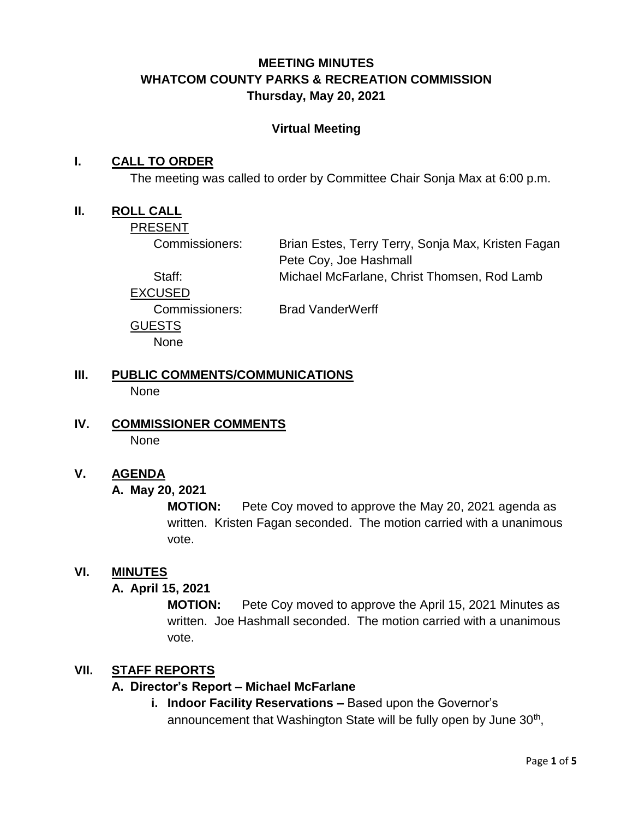## **MEETING MINUTES WHATCOM COUNTY PARKS & RECREATION COMMISSION Thursday, May 20, 2021**

#### **Virtual Meeting**

#### **I. CALL TO ORDER**

The meeting was called to order by Committee Chair Sonja Max at 6:00 p.m.

#### **II. ROLL CALL**

PRESENT

Commissioners: Brian Estes, Terry Terry, Sonja Max, Kristen Fagan Pete Coy, Joe Hashmall Staff: Michael McFarlane, Christ Thomsen, Rod Lamb

EXCUSED GUESTS None

Commissioners: Brad VanderWerff

#### **III. PUBLIC COMMENTS/COMMUNICATIONS** None

**IV. COMMISSIONER COMMENTS** None

## **V. AGENDA**

**A. May 20, 2021**

**MOTION:** Pete Coy moved to approve the May 20, 2021 agenda as written. Kristen Fagan seconded. The motion carried with a unanimous vote.

#### **VI. MINUTES**

#### **A. April 15, 2021**

**MOTION:** Pete Coy moved to approve the April 15, 2021 Minutes as written. Joe Hashmall seconded. The motion carried with a unanimous vote.

#### **VII. STAFF REPORTS**

#### **A. Director's Report – Michael McFarlane**

**i. Indoor Facility Reservations –** Based upon the Governor's announcement that Washington State will be fully open by June 30<sup>th</sup>,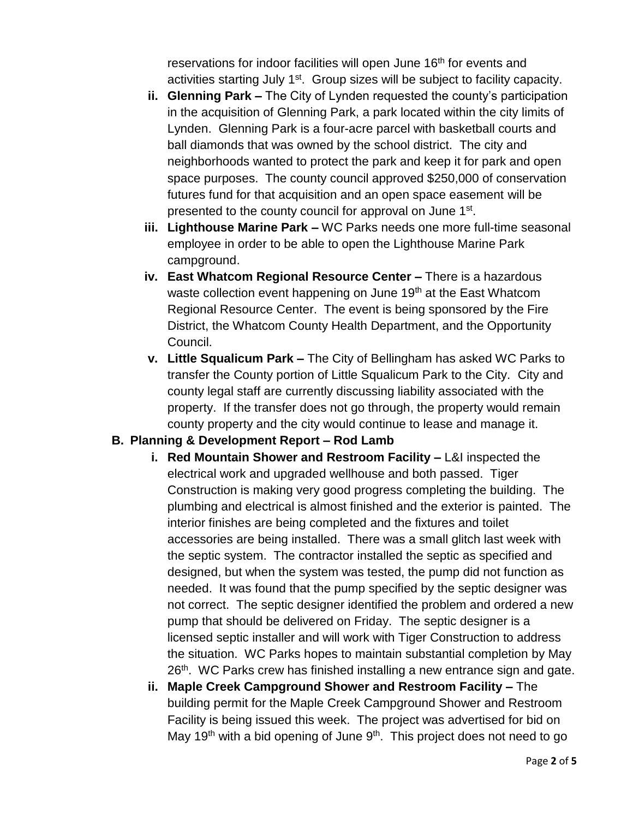reservations for indoor facilities will open June 16<sup>th</sup> for events and activities starting July 1<sup>st</sup>. Group sizes will be subject to facility capacity.

- **ii. Glenning Park –** The City of Lynden requested the county's participation in the acquisition of Glenning Park, a park located within the city limits of Lynden. Glenning Park is a four-acre parcel with basketball courts and ball diamonds that was owned by the school district. The city and neighborhoods wanted to protect the park and keep it for park and open space purposes. The county council approved \$250,000 of conservation futures fund for that acquisition and an open space easement will be presented to the county council for approval on June 1<sup>st</sup>.
- **iii. Lighthouse Marine Park –** WC Parks needs one more full-time seasonal employee in order to be able to open the Lighthouse Marine Park campground.
- **iv. East Whatcom Regional Resource Center –** There is a hazardous waste collection event happening on June 19<sup>th</sup> at the East Whatcom Regional Resource Center. The event is being sponsored by the Fire District, the Whatcom County Health Department, and the Opportunity Council.
- **v. Little Squalicum Park –** The City of Bellingham has asked WC Parks to transfer the County portion of Little Squalicum Park to the City. City and county legal staff are currently discussing liability associated with the property. If the transfer does not go through, the property would remain county property and the city would continue to lease and manage it.

#### **B. Planning & Development Report – Rod Lamb**

- **i. Red Mountain Shower and Restroom Facility –** L&I inspected the electrical work and upgraded wellhouse and both passed. Tiger Construction is making very good progress completing the building. The plumbing and electrical is almost finished and the exterior is painted. The interior finishes are being completed and the fixtures and toilet accessories are being installed. There was a small glitch last week with the septic system. The contractor installed the septic as specified and designed, but when the system was tested, the pump did not function as needed. It was found that the pump specified by the septic designer was not correct. The septic designer identified the problem and ordered a new pump that should be delivered on Friday. The septic designer is a licensed septic installer and will work with Tiger Construction to address the situation. WC Parks hopes to maintain substantial completion by May 26<sup>th</sup>. WC Parks crew has finished installing a new entrance sign and gate.
- **ii. Maple Creek Campground Shower and Restroom Facility –** The building permit for the Maple Creek Campground Shower and Restroom Facility is being issued this week. The project was advertised for bid on May 19<sup>th</sup> with a bid opening of June  $9<sup>th</sup>$ . This project does not need to go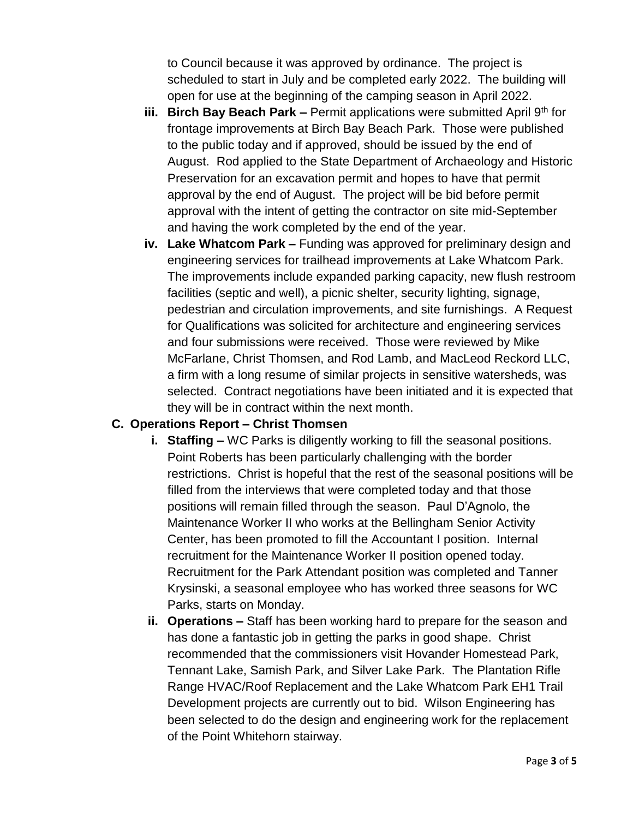to Council because it was approved by ordinance. The project is scheduled to start in July and be completed early 2022. The building will open for use at the beginning of the camping season in April 2022.

- **iii. Birch Bay Beach Park –** Permit applications were submitted April 9<sup>th</sup> for frontage improvements at Birch Bay Beach Park. Those were published to the public today and if approved, should be issued by the end of August. Rod applied to the State Department of Archaeology and Historic Preservation for an excavation permit and hopes to have that permit approval by the end of August. The project will be bid before permit approval with the intent of getting the contractor on site mid-September and having the work completed by the end of the year.
- **iv. Lake Whatcom Park –** Funding was approved for preliminary design and engineering services for trailhead improvements at Lake Whatcom Park. The improvements include expanded parking capacity, new flush restroom facilities (septic and well), a picnic shelter, security lighting, signage, pedestrian and circulation improvements, and site furnishings. A Request for Qualifications was solicited for architecture and engineering services and four submissions were received. Those were reviewed by Mike McFarlane, Christ Thomsen, and Rod Lamb, and MacLeod Reckord LLC, a firm with a long resume of similar projects in sensitive watersheds, was selected. Contract negotiations have been initiated and it is expected that they will be in contract within the next month.

#### **C. Operations Report – Christ Thomsen**

- **i. Staffing –** WC Parks is diligently working to fill the seasonal positions. Point Roberts has been particularly challenging with the border restrictions. Christ is hopeful that the rest of the seasonal positions will be filled from the interviews that were completed today and that those positions will remain filled through the season. Paul D'Agnolo, the Maintenance Worker II who works at the Bellingham Senior Activity Center, has been promoted to fill the Accountant I position. Internal recruitment for the Maintenance Worker II position opened today. Recruitment for the Park Attendant position was completed and Tanner Krysinski, a seasonal employee who has worked three seasons for WC Parks, starts on Monday.
- **ii. Operations –** Staff has been working hard to prepare for the season and has done a fantastic job in getting the parks in good shape. Christ recommended that the commissioners visit Hovander Homestead Park, Tennant Lake, Samish Park, and Silver Lake Park. The Plantation Rifle Range HVAC/Roof Replacement and the Lake Whatcom Park EH1 Trail Development projects are currently out to bid. Wilson Engineering has been selected to do the design and engineering work for the replacement of the Point Whitehorn stairway.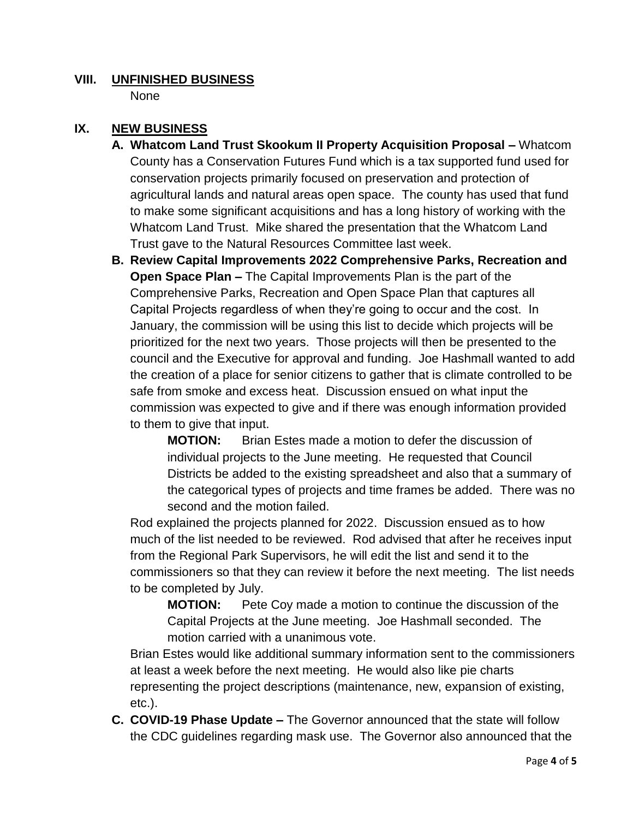# **VIII. UNFINISHED BUSINESS**

None

#### **IX. NEW BUSINESS**

- **A. Whatcom Land Trust Skookum II Property Acquisition Proposal –** Whatcom County has a Conservation Futures Fund which is a tax supported fund used for conservation projects primarily focused on preservation and protection of agricultural lands and natural areas open space. The county has used that fund to make some significant acquisitions and has a long history of working with the Whatcom Land Trust. Mike shared the presentation that the Whatcom Land Trust gave to the Natural Resources Committee last week.
- **B. Review Capital Improvements 2022 Comprehensive Parks, Recreation and Open Space Plan –** The Capital Improvements Plan is the part of the Comprehensive Parks, Recreation and Open Space Plan that captures all Capital Projects regardless of when they're going to occur and the cost. In January, the commission will be using this list to decide which projects will be prioritized for the next two years. Those projects will then be presented to the council and the Executive for approval and funding. Joe Hashmall wanted to add the creation of a place for senior citizens to gather that is climate controlled to be safe from smoke and excess heat. Discussion ensued on what input the commission was expected to give and if there was enough information provided to them to give that input.

**MOTION:** Brian Estes made a motion to defer the discussion of individual projects to the June meeting. He requested that Council Districts be added to the existing spreadsheet and also that a summary of the categorical types of projects and time frames be added. There was no second and the motion failed.

Rod explained the projects planned for 2022. Discussion ensued as to how much of the list needed to be reviewed. Rod advised that after he receives input from the Regional Park Supervisors, he will edit the list and send it to the commissioners so that they can review it before the next meeting. The list needs to be completed by July.

**MOTION:** Pete Coy made a motion to continue the discussion of the Capital Projects at the June meeting. Joe Hashmall seconded. The motion carried with a unanimous vote.

Brian Estes would like additional summary information sent to the commissioners at least a week before the next meeting. He would also like pie charts representing the project descriptions (maintenance, new, expansion of existing, etc.).

**C. COVID-19 Phase Update –** The Governor announced that the state will follow the CDC guidelines regarding mask use. The Governor also announced that the